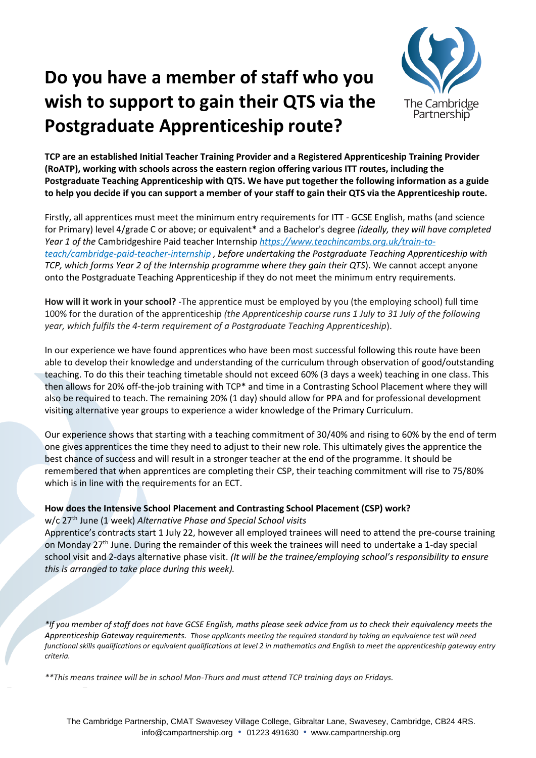## **Do you have a member of staff who you wish to support to gain their QTS via the Postgraduate Apprenticeship route?**



**TCP are an established Initial Teacher Training Provider and a Registered Apprenticeship Training Provider (RoATP), working with schools across the eastern region offering various ITT routes, including the Postgraduate Teaching Apprenticeship with QTS. We have put together the following information as a guide to help you decide if you can support a member of your staff to gain their QTS via the Apprenticeship route.** 

Firstly, all apprentices must meet the minimum entry requirements for ITT - GCSE English, maths (and science for Primary) level 4/grade C or above; or equivalent\* and a Bachelor's degree *(ideally, they will have completed Year 1 of the* Cambridgeshire Paid teacher Internship *[https://www.teachincambs.org.uk/train-to](https://www.teachincambs.org.uk/train-to-teach/cambridge-paid-teacher-internship)[teach/cambridge-paid-teacher-internship](https://www.teachincambs.org.uk/train-to-teach/cambridge-paid-teacher-internship) , before undertaking the Postgraduate Teaching Apprenticeship with TCP, which forms Year 2 of the Internship programme where they gain their QTS*). We cannot accept anyone onto the Postgraduate Teaching Apprenticeship if they do not meet the minimum entry requirements.

**How will it work in your school?** -The apprentice must be employed by you (the employing school) full time 100% for the duration of the apprenticeship *(the Apprenticeship course runs 1 July to 31 July of the following year, which fulfils the 4-term requirement of a Postgraduate Teaching Apprenticeship*).

In our experience we have found apprentices who have been most successful following this route have been able to develop their knowledge and understanding of the curriculum through observation of good/outstanding teaching. To do this their teaching timetable should not exceed 60% (3 days a week) teaching in one class. This then allows for 20% off-the-job training with TCP\* and time in a Contrasting School Placement where they will also be required to teach. The remaining 20% (1 day) should allow for PPA and for professional development visiting alternative year groups to experience a wider knowledge of the Primary Curriculum.

Our experience shows that starting with a teaching commitment of 30/40% and rising to 60% by the end of term one gives apprentices the time they need to adjust to their new role. This ultimately gives the apprentice the best chance of success and will result in a stronger teacher at the end of the programme. It should be remembered that when apprentices are completing their CSP, their teaching commitment will rise to 75/80% which is in line with the requirements for an ECT.

## **How does the Intensive School Placement and Contrasting School Placement (CSP) work?**

w/c 27th June (1 week) *Alternative Phase and Special School visits*

Apprentice's contracts start 1 July 22, however all employed trainees will need to attend the pre-course training on Monday 27<sup>th</sup> June. During the remainder of this week the trainees will need to undertake a 1-day special school visit and 2-days alternative phase visit. *(It will be the trainee/employing school's responsibility to ensure this is arranged to take place during this week).*

*\*If you member of staff does not have GCSE English, maths please seek advice from us to check their equivalency meets the Apprenticeship Gateway requirements. Those applicants meeting the required standard by taking an equivalence test will need functional skills qualifications or equivalent qualifications at level 2 in mathematics and English to meet the apprenticeship gateway entry criteria.*

*\*\*This means trainee will be in school Mon-Thurs and must attend TCP training days on Fridays.*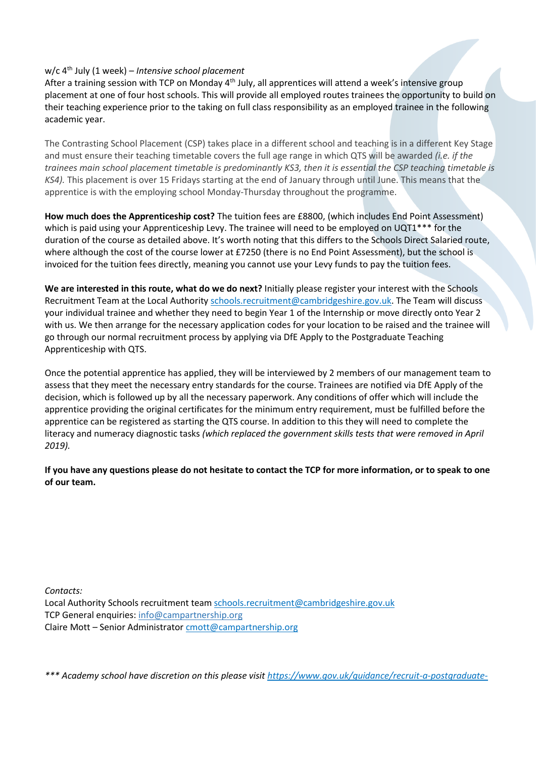## w/c 4th July (1 week) – *Intensive school placement*

After a training session with TCP on Monday 4<sup>th</sup> July, all apprentices will attend a week's intensive group placement at one of four host schools. This will provide all employed routes trainees the opportunity to build on their teaching experience prior to the taking on full class responsibility as an employed trainee in the following academic year.

The Contrasting School Placement (CSP) takes place in a different school and teaching is in a different Key Stage and must ensure their teaching timetable covers the full age range in which QTS will be awarded *(i.e. if the trainees main school placement timetable is predominantly KS3, then it is essential the CSP teaching timetable is KS4).* This placement is over 15 Fridays starting at the end of January through until June. This means that the apprentice is with the employing school Monday-Thursday throughout the programme.

**How much does the Apprenticeship cost?** The tuition fees are £8800, (which includes End Point Assessment) which is paid using your Apprenticeship Levy. The trainee will need to be employed on UQT1\*\*\* for the duration of the course as detailed above. It's worth noting that this differs to the Schools Direct Salaried route, where although the cost of the course lower at £7250 (there is no End Point Assessment), but the school is invoiced for the tuition fees directly, meaning you cannot use your Levy funds to pay the tuition fees.

**We are interested in this route, what do we do next?** Initially please register your interest with the Schools Recruitment Team at the Local Authority [schools.recruitment@cambridgeshire.gov.uk.](mailto:schools.recruitment@cambridgeshire.gov.uk) The Team will discuss your individual trainee and whether they need to begin Year 1 of the Internship or move directly onto Year 2 with us. We then arrange for the necessary application codes for your location to be raised and the trainee will go through our normal recruitment process by applying via DfE Apply to the Postgraduate Teaching Apprenticeship with QTS.

Once the potential apprentice has applied, they will be interviewed by 2 members of our management team to assess that they meet the necessary entry standards for the course. Trainees are notified via DfE Apply of the decision, which is followed up by all the necessary paperwork. Any conditions of offer which will include the apprentice providing the original certificates for the minimum entry requirement, must be fulfilled before the apprentice can be registered as starting the QTS course. In addition to this they will need to complete the literacy and numeracy diagnostic tasks *(which replaced the government skills tests that were removed in April 2019).* 

**If you have any questions please do not hesitate to contact the TCP for more information, or to speak to one of our team.**

*Contacts:* 

Local Authority Schools recruitment team [schools.recruitment@cambridgeshire.gov.uk](mailto:schools.recruitment@cambridgeshire.gov.uk) TCP General enquiries[: info@campartnership.org](mailto:info@campartnership.org) Claire Mott – Senior Administrator [cmott@campartnership.org](mailto:cmott@campartnership.org)

*\*\*\* Academy school have discretion on this please visit [https://www.gov.uk/guidance/recruit-a-postgraduate-](https://www.gov.uk/guidance/recruit-a-postgraduate-teacher-apprentice-guidance-for-employers#salaries)*